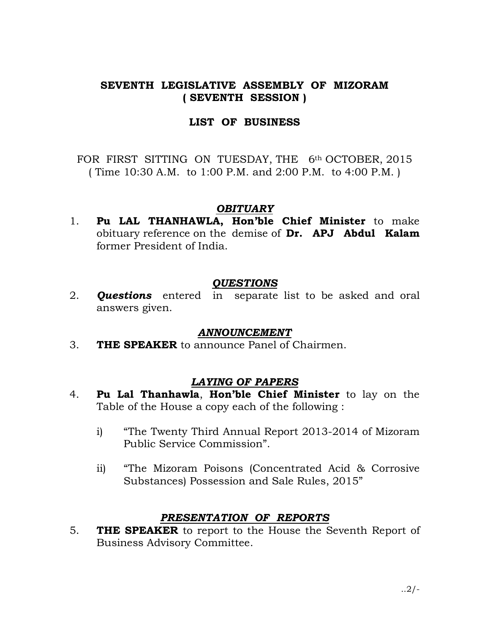# SEVENTH LEGISLATIVE ASSEMBLY OF MIZORAM ( SEVENTH SESSION )

### LIST OF BUSINESS

FOR FIRST SITTING ON TUESDAY, THE 6<sup>th</sup> OCTOBER, 2015 ( Time 10:30 A.M. to 1:00 P.M. and 2:00 P.M. to 4:00 P.M. )

## **OBITUARY**

1. Pu LAL THANHAWLA, Hon'ble Chief Minister to make obituary reference on the demise of Dr. APJ Abdul Kalam former President of India.

## **OUESTIONS**

2. **Questions** entered in separate list to be asked and oral answers given.

#### ANNOUNCEMENT

3. THE SPEAKER to announce Panel of Chairmen.

## LAYING OF PAPERS

- 4. Pu Lal Thanhawla, Hon'ble Chief Minister to lay on the Table of the House a copy each of the following :
	- i) "The Twenty Third Annual Report 2013-2014 of Mizoram Public Service Commission".
	- ii) "The Mizoram Poisons (Concentrated Acid & Corrosive Substances) Possession and Sale Rules, 2015"

## PRESENTATION OF REPORTS

5. **THE SPEAKER** to report to the House the Seventh Report of Business Advisory Committee.